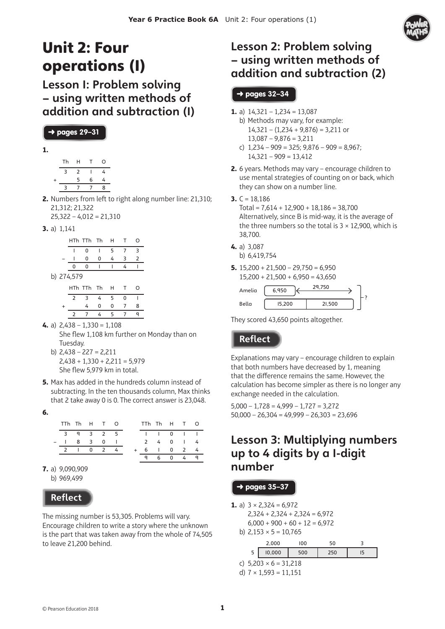

# Unit 2: Four operations (1)

Lesson 1: Problem solving – using written methods of addition and subtraction (1)

#### ➜ pages **29–31**

| I |        |  |
|---|--------|--|
|   |        |  |
|   | $\sim$ |  |

|           | Th | н | т | O |
|-----------|----|---|---|---|
|           | 3  | 2 |   | 4 |
| $\ddot{}$ |    | 5 | 6 | 4 |
|           | З  |   |   | 8 |
|           |    |   |   |   |

**2.** Numbers from left to right along number line: 21,310; 21,312; 21,322  $25,322 - 4,012 = 21,310$ 

**3.** a) 1,141

 $h)$ 

|   |         | HTh TTh Th |   | - H |   | റ |
|---|---------|------------|---|-----|---|---|
|   |         | 0          |   | 5   | 7 | 3 |
|   |         | 0          | 0 | 4   | 3 | 2 |
|   | 0       | 0          |   |     | 4 |   |
|   | 274,579 |            |   |     |   |   |
|   |         | HTh TTh Th |   | H   | т | റ |
|   | 2       | 3          | 4 | 5   | 0 |   |
| ÷ |         | 4          | 0 | 0   | 7 | 8 |
|   | 2       |            | 4 | 5   |   |   |

**4.** a)  $2,438 - 1,330 = 1,108$ She flew 1,108 km further on Monday than on Tuesday.

b)  $2.438 - 227 = 2.211$  $2,438 + 1,330 + 2,211 = 5,979$ She flew 5.979 km in total.

- **5.** Max has added in the hundreds column instead of subtracting. In the ten thousands column, Max thinks that 2 take away 0 is 0. The correct answer is 23,048.
- **6.**

| TTh Th H T O |  |           |  |  | TTh Th H T O                                                                                                                                                                                                                                                                                                                                                                                                                                                                                                                   |  |
|--------------|--|-----------|--|--|--------------------------------------------------------------------------------------------------------------------------------------------------------------------------------------------------------------------------------------------------------------------------------------------------------------------------------------------------------------------------------------------------------------------------------------------------------------------------------------------------------------------------------|--|
|              |  | 3 9 3 2 5 |  |  | $\begin{array}{ccccccccccccccccc} \multicolumn{4}{c }{\color{blue}\multicolumn{4}{c }{\color{blue}\multicolumn{4}{c }{\color{blue}\multicolumn{4}{c }{\color{blue}\multicolumn{4}{c }{\color{blue}\multicolumn{4}{c }{\color{blue}\multicolumn{4}{c }{\color{blue}\multicolumn{4}{c }{\color{blue}\multicolumn{4}{c }{\color{blue}\multicolumn{4}{c }{\color{blue}\multicolumn{4}{c }{\color{blue}\multicolumn{4}{c }{\color{blue}\multicolumn{4}{c }{\color{blue}\multicolumn{4}{c }{\color{blue}\multicolumn{4}{c }{\color{$ |  |
|              |  | 830       |  |  | 2 4 0 1 4                                                                                                                                                                                                                                                                                                                                                                                                                                                                                                                      |  |
|              |  | 21024     |  |  | 6 1 0 2 4                                                                                                                                                                                                                                                                                                                                                                                                                                                                                                                      |  |
|              |  |           |  |  | 96049                                                                                                                                                                                                                                                                                                                                                                                                                                                                                                                          |  |

**7.** a) 9,090,909 b) 969,499

### **Reflect**

The missing number is 53,305. Problems will vary. Encourage children to write a story where the unknown is the part that was taken away from the whole of 74,505 to leave 21,200 behind.

## Lesson 2: Problem solving – using written methods of addition and subtraction (2)

### ➜ pages **32–34**

- **1.** a)  $14,321 1,234 = 13,087$ 
	- b) Methods may vary, for example:  $14,321 - (1,234 + 9,876) = 3,211$  or  $13,087 - 9,876 = 3,211$
	- c)  $1,234 909 = 325$ ;  $9,876 909 = 8,967$ ;  $14,321 - 909 = 13,412$
- **2.** 6 years. Methods may vary encourage children to use mental strategies of counting on or back, which they can show on a number line.

#### **3.**  $C = 18.186$

 $Total = 7,614 + 12,900 + 18,186 = 38,700$ Alternatively, since B is mid-way, it is the average of the three numbers so the total is  $3 \times 12,900$ , which is 38,700.

- **4.** a) 3,087
	- b) 6,419,754
- **5.** 15,200 + 21,500 29,750 = 6,950  $15,200 + 21,500 + 6,950 = 43,650$

| Amelia | 6.950  | 29.750 |  |
|--------|--------|--------|--|
| Bella  | 15,200 | 21,500 |  |

They scored 43,650 points altogether.

## **Reflect**

Explanations may vary – encourage children to explain that both numbers have decreased by 1, meaning that the difference remains the same. However, the calculation has become simpler as there is no longer any exchange needed in the calculation.

 $5,000 - 1,728 = 4,999 - 1,727 = 3,272$  $50,000 - 26,304 = 49,999 - 26,303 = 23,696$ 

## Lesson 3: Multiplying numbers up to 4 digits by a 1-digit number

#### ➜ pages **35–37**

**1.** a)  $3 \times 2,324 = 6,972$  $2,324 + 2,324 + 2,324 = 6,972$ 

- $6,000 + 900 + 60 + 12 = 6,972$
- b)  $2,153 \times 5 = 10,765$

|   | nnn |  |  |
|---|-----|--|--|
| ر | ٦Δ  |  |  |

- c)  $5,203 \times 6 = 31,218$
- d)  $7 \times 1,593 = 11,151$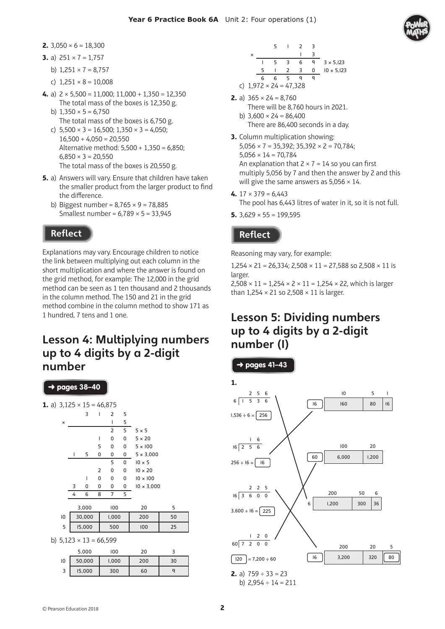- **2.**  $3,050 \times 6 = 18,300$
- **3.** a)  $251 \times 7 = 1.757$ 
	- b)  $1,251 \times 7 = 8,757$
	- c)  $1,251 \times 8 = 10,008$
- **4.** a)  $2 \times 5,500 = 11,000; 11,000 + 1,350 = 12,350$ The total mass of the boxes is 12,350 g.
	- b)  $1.350 \times 5 = 6.750$ The total mass of the boxes is 6,750 g.
	- c)  $5.500 \times 3 = 16.500$ ;  $1.350 \times 3 = 4.050$ ;  $16,500 + 4,050 = 20,550$ Alternative method: 5,500 + 1,350 = 6,850;  $6,850 \times 3 = 20,550$ The total mass of the boxes is 20,550 g.
- **5.** a) Answers will vary. Ensure that children have taken the smaller product from the larger product to find the difference.
	- b) Biggest number =  $8,765 \times 9 = 78,885$ Smallest number =  $6,789 \times 5 = 33,945$

Explanations may vary. Encourage children to notice the link between multiplying out each column in the short multiplication and where the answer is found on the grid method, for example: The 12,000 in the grid method can be seen as 1 ten thousand and 2 thousands in the column method. The 150 and 21 in the grid method combine in the column method to show 171 as 1 hundred, 7 tens and 1 one.

## Lesson 4: Multiplying numbers up to 4 digits by a 2-digit number



|   |   |                               |     | $\overline{2}$ | 3 |                   |
|---|---|-------------------------------|-----|----------------|---|-------------------|
| × |   |                               |     |                |   |                   |
|   |   |                               | -3  | 6              | q | $3 \times 5,123$  |
|   | 5 |                               | -2  | 3              | 0 | $10 \times 5,123$ |
|   | 6 |                               | - 5 |                |   |                   |
|   |   | c) $1,972 \times 24 = 47,328$ |     |                |   |                   |

- **2.** a)  $365 \times 24 = 8.760$ 
	- There will be 8,760 hours in 2021. b)  $3,600 \times 24 = 86,400$ There are 86,400 seconds in a day.
- **3.** Column multiplication showing:  $5,056 \times 7 = 35,392$ ;  $35,392 \times 2 = 70,784$ ;  $5.056 \times 14 = 70.784$ An explanation that  $2 \times 7 = 14$  so you can first multiply 5,056 by 7 and then the answer by 2 and this will give the same answers as  $5,056 \times 14$ .
- **4.** 17 × 379 = 6,443 The pool has 6,443 litres of water in it, so it is not full.
- **5.**  $3,629 \times 55 = 199,595$

## **Reflect**

Reasoning may vary, for example:

 $1,254 \times 21 = 26,334$ ;  $2,508 \times 11 = 27,588$  so  $2,508 \times 11$  is larger.

 $2,508 \times 11 = 1,254 \times 2 \times 11 = 1,254 \times 22$ , which is larger than  $1,254 \times 21$  so  $2,508 \times 11$  is larger.

## Lesson 5: Dividing numbers up to 4 digits by a 2-digit number (1)

➜ pages **41–43** 

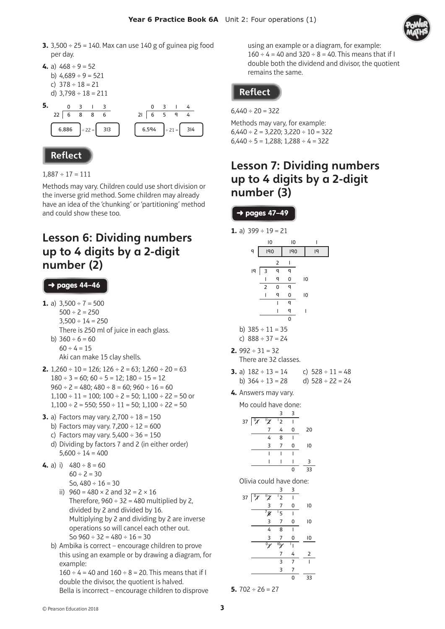

- **3.** 3,500 ÷ 25 = 140. Max can use 140 g of guinea pig food per day.
- **4.** a)  $468 \div 9 = 52$ b)  $4.689 \div 9 = 521$ c)  $378 \div 18 = 21$ d)  $3,798 \div 18 = 211$



 $1,887 \div 17 = 111$ 

Methods may vary. Children could use short division or the inverse grid method. Some children may already have an idea of the 'chunking' or 'partitioning' method and could show these too.

## Lesson 6: Dividing numbers up to 4 digits by a 2-digit number (2)

#### ➜ pages **44–46**

- **1.** a)  $3,500 \div 7 = 500$  $500 \div 2 = 250$  $3,500 \div 14 = 250$ There is 250 ml of juice in each glass. b)  $360 \div 6 = 60$  $60 \div 4 = 15$ Aki can make 15 clay shells.
- **2.**  $1,260 \div 10 = 126$ ;  $126 \div 2 = 63$ ;  $1,260 \div 20 = 63$  $180 \div 3 = 60$ ;  $60 \div 5 = 12$ ;  $180 \div 15 = 12$  $960 \div 2 = 480$ ;  $480 \div 8 = 60$ ;  $960 \div 16 = 60$  $1,100 \div 11 = 100$ ;  $100 \div 2 = 50$ ;  $1,100 \div 22 = 50$  or  $1,100 \div 2 = 550$ ;  $550 \div 11 = 50$ ;  $1,100 \div 22 = 50$
- **3.** a) Factors may vary. 2,700 ÷ 18 = 150
	- b) Factors may vary.  $7,200 \div 12 = 600$
	- c) Factors may vary.  $5,400 \div 36 = 150$
	- d) Dividing by factors 7 and 2 (in either order)  $5,600 \div 14 = 400$
- **4.** a) i)  $480 \div 8 = 60$  $60 \div 2 = 30$ So,  $480 \div 16 = 30$ 
	- ii)  $960 = 480 \times 2$  and  $32 = 2 \times 16$ Therefore,  $960 \div 32 = 480$  multiplied by 2, divided by 2 and divided by 16. Multiplying by 2 and dividing by 2 are inverse

operations so will cancel each other out. So  $960 \div 32 = 480 \div 16 = 30$ 

b) Ambika is correct – encourage children to prove this using an example or by drawing a diagram, for example:  $160 \div 4 = 40$  and  $160 \div 8 = 20$ . This means that if I

double the divisor, the quotient is halved. Bella is incorrect – encourage children to disprove using an example or a diagram, for example:  $160 \div 4 = 40$  and  $320 \div 8 = 40$ . This means that if I double both the dividend and divisor, the quotient remains the same.

### **Reflect**

 $6,440 \div 20 = 322$ 

Methods may vary, for example:  $6,440 \div 2 = 3,220$ ;  $3,220 \div 10 = 322$  $6,440 \div 5 = 1,288; 1,288 \div 4 = 322$ 

## Lesson 7: Dividing numbers up to 4 digits by a 2-digit number (3)

➜ pages **47–49** 

**1.** a)  $399 \div 19 = 21$ 

- 10 10 1 9 | 190 | 19  $2 \mid$  $19 \overline{3}$   $\overline{9}$   $\overline{9}$ 1 9 0 10  $2 0 9$ 1 9 0 10  $q$  $q \quad 1$  $\overline{0}$
- b)  $385 \div 11 = 35$
- c)  $888 \div 37 = 24$
- **2.**  $992 \div 31 = 32$ There are 32 classes.
- **3.** a)  $182 \div 13 = 14$  c)  $528 \div 11 = 48$ b)  $364 \div 13 = 28$  d)  $528 \div 22 = 24$
- **4.** Answers may vary.

Mo could have done:

|                          |   | з   | ੨ |    |
|--------------------------|---|-----|---|----|
| 37 $\sqrt{y}$ $\sqrt{z}$ |   | ر ا |   |    |
|                          | 7 | 4   | 0 | 20 |
|                          | 4 | 8   |   |    |
|                          | 3 |     | 0 | 10 |
|                          |   |     |   |    |
|                          |   |     |   | ς  |
|                          |   |     | በ | 33 |

Olivia could have done:

|    |                 |                                                     | 3              | 3  |    |
|----|-----------------|-----------------------------------------------------|----------------|----|----|
| 37 | $\sqrt{\alpha}$ | $\overline{2}$                                      | $\overline{2}$ |    |    |
|    |                 | 3                                                   | 7              | 0  | 10 |
|    |                 | $\overline{7g}$                                     | $\overline{5}$ |    |    |
|    |                 | 3                                                   | 7              | 0  | 10 |
|    |                 | 4                                                   | 8              |    |    |
|    |                 | 3                                                   | 7              | 0  | 10 |
|    |                 | $\overline{\mathfrak{o}_{\boldsymbol{\mathsf{Y}}}}$ | $\overline{P}$ | ۱, |    |
|    |                 |                                                     | 7              | 4  | 2  |
|    |                 |                                                     | 3              | 7  | l  |
|    |                 |                                                     | 3              | 7  |    |
|    |                 |                                                     |                | 0  | 33 |
|    |                 |                                                     |                |    |    |

**5.** 702 ÷ 26 = 27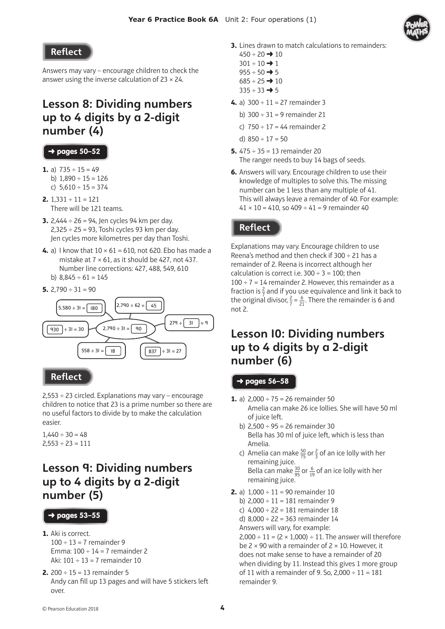Answers may vary – encourage children to check the answer using the inverse calculation of  $23 \times 24$ .

## Lesson 8: Dividing numbers up to 4 digits by a 2-digit number (4)

#### ➜ pages **50–52**

- **1.** a)  $735 \div 15 = 49$ b)  $1.890 \div 15 = 126$ c)  $5,610 \div 15 = 374$
- **2.** 1,331 ÷ 11 = 121 There will be 121 teams.
- **3.** 2,444 ÷ 26 = 94, Jen cycles 94 km per day.  $2,325 \div 25 = 93$ , Toshi cycles 93 km per day. Jen cycles more kilometres per day than Toshi.
- **4.** a) I know that  $10 \times 61 = 610$ , not 620. Ebo has made a mistake at  $7 \times 61$ , as it should be 427, not 437. Number line corrections: 427, 488, 549, 610 b)  $8,845 \div 61 = 145$

**5.**  $2,790 \div 31 = 90$ 



#### **Reflect**

2,553 ÷ 23 circled. Explanations may vary – encourage children to notice that 23 is a prime number so there are no useful factors to divide by to make the calculation easier.

 $1.440 \div 30 = 48$  $2,553 \div 23 = 111$ 

## Lesson 9: Dividing numbers up to 4 digits by a 2-digit number (5)

#### ➜ pages **53–55**

- **1.** Aki is correct.
	- $100 \div 13 = 7$  remainder 9 Emma:  $100 \div 14 = 7$  remainder 2 Aki:  $101 \div 13 = 7$  remainder 10
- **2.**  $200 \div 15 = 13$  remainder 5 Andy can fill up 13 pages and will have 5 stickers left over.
- **3.** Lines drawn to match calculations to remainders:
	- $450 \div 20 \rightarrow 10$  $301 \div 10 \rightarrow 1$
	- $955 \div 50 \rightarrow 5$
	- $685 \div 25 \rightarrow 10$
	- $335 \div 33 \rightarrow 5$
- **4.** a)  $300 \div 11 = 27$  remainder 3
	- b)  $300 \div 31 = 9$  remainder 21
	- c)  $750 \div 17 = 44$  remainder 2
	- d)  $850 \div 17 = 50$
- **5.** 475 ÷ 35 = 13 remainder 20 The ranger needs to buy 14 bags of seeds.
- **6.** Answers will vary. Encourage children to use their knowledge of multiples to solve this. The missing number can be 1 less than any multiple of 41. This will always leave a remainder of 40. For example:  $41 \times 10 = 410$ , so  $409 \div 41 = 9$  remainder  $40$

#### **Reflect**

Explanations may vary. Encourage children to use Reena's method and then check if  $300 \div 21$  has a remainder of 2. Reena is incorrect although her calculation is correct i.e.  $300 \div 3 = 100$ ; then  $100 \div 7 = 14$  remainder 2. However, this remainder as a fraction is  $\frac{2}{7}$  and if you use equivalence and link it back to the original divisor,  $\frac{2}{7} = \frac{6}{21}$ . There the remainder is 6 and not 2.

## Lesson 10: Dividing numbers up to 4 digits by a 2-digit number (6)

#### ➜ pages **56–58**

- **1.** a)  $2.000 \div 75 = 26$  remainder 50 Amelia can make 26 ice lollies. She will have 50 ml of juice left.
	- b)  $2,500 \div 95 = 26$  remainder 30 Bella has 30 ml of juice left, which is less than Amelia.
	- c) Amelia can make  $\frac{50}{75}$  or  $\frac{2}{3}$  of an ice lolly with her remaining juice. Bella can make  $\frac{30}{95}$  or  $\frac{6}{19}$  of an ice lolly with her remaining juice.
- **2.** a)  $1,000 \div 11 = 90$  remainder 10
	- b)  $2,000 \div 11 = 181$  remainder 9
	- c)  $4,000 \div 22 = 181$  remainder 18
	- d) 8,000 ÷ 22 = 363 remainder 14
	- Answers will vary, for example:

 $2.000 \div 11 = (2 \times 1.000) \div 11$ . The answer will therefore be  $2 \times 90$  with a remainder of  $2 \times 10$ . However, it does not make sense to have a remainder of 20 when dividing by 11. Instead this gives 1 more group of 11 with a remainder of 9. So,  $2,000 \div 11 = 181$ remainder 9.